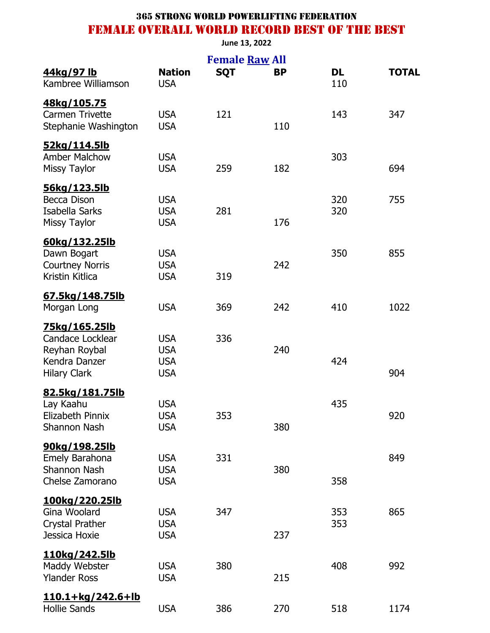#### **June 13, 2022**

|                                                                                                   |                                                      | <b>Female Raw All</b> |           |                  |              |
|---------------------------------------------------------------------------------------------------|------------------------------------------------------|-----------------------|-----------|------------------|--------------|
| 44kg/97 lb<br>Kambree Williamson                                                                  | <b>Nation</b><br><b>USA</b>                          | <b>SQT</b>            | <b>BP</b> | <b>DL</b><br>110 | <b>TOTAL</b> |
| 48kg/105.75<br><b>Carmen Trivette</b><br>Stephanie Washington                                     | <b>USA</b><br><b>USA</b>                             | 121                   | 110       | 143              | 347          |
| 52kg/114.5lb<br><b>Amber Malchow</b><br><b>Missy Taylor</b>                                       | <b>USA</b><br><b>USA</b>                             | 259                   | 182       | 303              | 694          |
| <u>56kg/123.5lb</u><br><b>Becca Dison</b><br>Isabella Sarks<br><b>Missy Taylor</b>                | <b>USA</b><br><b>USA</b><br><b>USA</b>               | 281                   | 176       | 320<br>320       | 755          |
| 60kg/132.25lb<br>Dawn Bogart<br><b>Courtney Norris</b><br>Kristin Kitlica                         | <b>USA</b><br><b>USA</b><br><b>USA</b>               | 319                   | 242       | 350              | 855          |
| 67.5kg/148.75lb<br>Morgan Long                                                                    | <b>USA</b>                                           | 369                   | 242       | 410              | 1022         |
| <u>75kg/165.25lb</u><br>Candace Locklear<br>Reyhan Roybal<br>Kendra Danzer<br><b>Hilary Clark</b> | <b>USA</b><br><b>USA</b><br><b>USA</b><br><b>USA</b> | 336                   | 240       | 424              | 904          |
| <u>82.5kg/181.75lb</u><br>Lay Kaahu<br>Elizabeth Pinnix<br><b>Shannon Nash</b>                    | <b>USA</b><br><b>USA</b><br><b>USA</b>               | 353                   | 380       | 435              | 920          |
| 90kg/198.25lb<br>Emely Barahona<br><b>Shannon Nash</b><br>Chelse Zamorano                         | <b>USA</b><br><b>USA</b><br><b>USA</b>               | 331                   | 380       | 358              | 849          |
| <u>100kg/220.25lb</u><br>Gina Woolard<br>Crystal Prather<br>Jessica Hoxie                         | <b>USA</b><br><b>USA</b><br><b>USA</b>               | 347                   | 237       | 353<br>353       | 865          |
| <u>110kg/242.5lb</u><br>Maddy Webster<br><b>Ylander Ross</b>                                      | <b>USA</b><br><b>USA</b>                             | 380                   | 215       | 408              | 992          |
| <u>110.1+kg/242.6+lb</u><br><b>Hollie Sands</b>                                                   | <b>USA</b>                                           | 386                   | 270       | 518              | 1174         |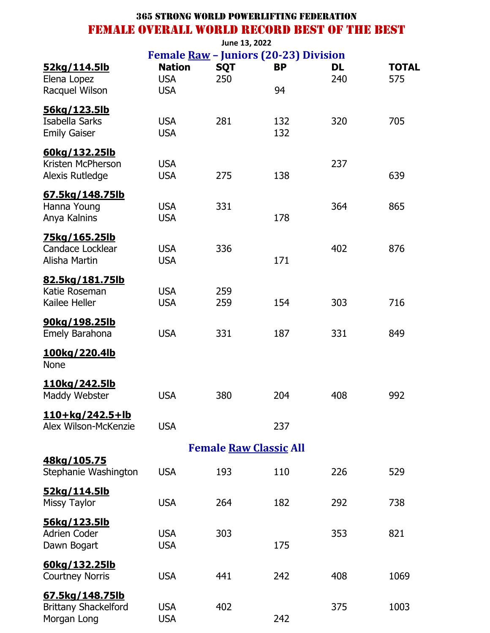|                               |                          | June 13, 2022 |                                              |           |              |
|-------------------------------|--------------------------|---------------|----------------------------------------------|-----------|--------------|
|                               |                          |               | Female <u>Raw</u> - Juniors (20-23) Division |           |              |
| 52kg/114.5lb                  | <b>Nation</b>            | <b>SQT</b>    | <b>BP</b>                                    | <b>DL</b> | <b>TOTAL</b> |
| Elena Lopez<br>Racquel Wilson | <b>USA</b><br><b>USA</b> | 250           | 94                                           | 240       | 575          |
|                               |                          |               |                                              |           |              |
| 56kg/123.5lb                  |                          |               |                                              |           |              |
| Isabella Sarks                | <b>USA</b>               | 281           | 132                                          | 320       | 705          |
| <b>Emily Gaiser</b>           | <b>USA</b>               |               | 132                                          |           |              |
| 60kg/132.25lb                 |                          |               |                                              |           |              |
| Kristen McPherson             | <b>USA</b>               |               |                                              | 237       |              |
| Alexis Rutledge               | <b>USA</b>               | 275           | 138                                          |           | 639          |
| 67.5kg/148.75lb               |                          |               |                                              |           |              |
| Hanna Young                   | <b>USA</b>               | 331           |                                              | 364       | 865          |
| Anya Kalnins                  | <b>USA</b>               |               | 178                                          |           |              |
| <u>75kg/165.25lb</u>          |                          |               |                                              |           |              |
| Candace Locklear              | <b>USA</b>               | 336           |                                              | 402       | 876          |
| Alisha Martin                 | <b>USA</b>               |               | 171                                          |           |              |
| <u>82.5kg/181.75lb</u>        |                          |               |                                              |           |              |
| Katie Roseman                 | <b>USA</b>               | 259           |                                              |           |              |
| Kailee Heller                 | <b>USA</b>               | 259           | 154                                          | 303       | 716          |
| 90kg/198.25lb                 |                          |               |                                              |           |              |
| Emely Barahona                | <b>USA</b>               | 331           | 187                                          | 331       | 849          |
|                               |                          |               |                                              |           |              |
| 100kg/220.4lb                 |                          |               |                                              |           |              |
| <b>None</b>                   |                          |               |                                              |           |              |
| 110kg/242.5lb                 |                          |               |                                              |           |              |
| Maddy Webster                 | <b>USA</b>               | 380           | 204                                          | 408       | 992          |
| <u>110+kg/242.5+lb</u>        |                          |               |                                              |           |              |
| Alex Wilson-McKenzie          | <b>USA</b>               |               | 237                                          |           |              |
|                               |                          |               |                                              |           |              |
| 48kg/105.75                   |                          |               | <b>Female Raw Classic All</b>                |           |              |
| Stephanie Washington          | <b>USA</b>               | 193           | 110                                          | 226       | 529          |
|                               |                          |               |                                              |           |              |
| <u>52kg/114.5lb</u>           |                          |               |                                              |           |              |
| <b>Missy Taylor</b>           | <b>USA</b>               | 264           | 182                                          | 292       | 738          |
| <u>56kg/123.5lb</u>           |                          |               |                                              |           |              |
| <b>Adrien Coder</b>           | <b>USA</b>               | 303           |                                              | 353       | 821          |
| Dawn Bogart                   | <b>USA</b>               |               | 175                                          |           |              |
| 60kg/132.25lb                 |                          |               |                                              |           |              |
| <b>Courtney Norris</b>        | <b>USA</b>               | 441           | 242                                          | 408       | 1069         |
| 67.5kg/148.75lb               |                          |               |                                              |           |              |
| <b>Brittany Shackelford</b>   | <b>USA</b>               | 402           |                                              | 375       | 1003         |
| Morgan Long                   | <b>USA</b>               |               | 242                                          |           |              |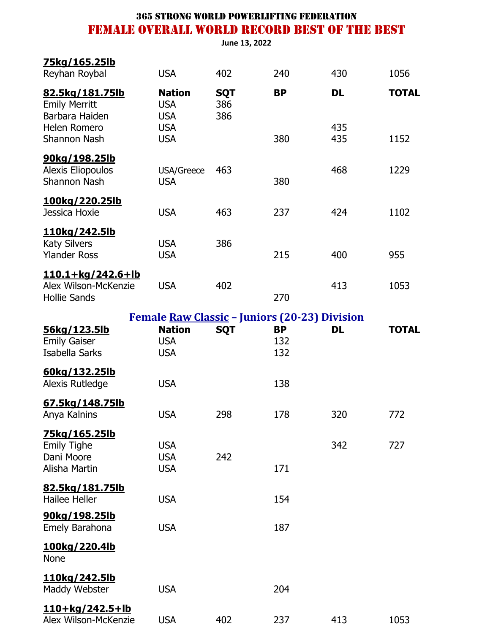**June 13, 2022**

| 75kg/165.25lb<br>Reyhan Roybal                                          | <b>USA</b>                                | 402                      | 240                                                         | 430        | 1056         |
|-------------------------------------------------------------------------|-------------------------------------------|--------------------------|-------------------------------------------------------------|------------|--------------|
| 82.5kg/181.75lb<br><b>Emily Merritt</b><br>Barbara Haiden               | <b>Nation</b><br><b>USA</b><br><b>USA</b> | <b>SQT</b><br>386<br>386 | <b>BP</b>                                                   | DL         | <b>TOTAL</b> |
| Helen Romero<br>Shannon Nash                                            | <b>USA</b><br><b>USA</b>                  |                          | 380                                                         | 435<br>435 | 1152         |
| 90kg/198.25lb<br><b>Alexis Eliopoulos</b><br><b>Shannon Nash</b>        | USA/Greece<br><b>USA</b>                  | 463                      | 380                                                         | 468        | 1229         |
| <u>100kg/220.25lb</u><br>Jessica Hoxie                                  | <b>USA</b>                                | 463                      | 237                                                         | 424        | 1102         |
| <u>110kg/242.5lb</u><br><b>Katy Silvers</b><br><b>Ylander Ross</b>      | <b>USA</b><br><b>USA</b>                  | 386                      | 215                                                         | 400        | 955          |
| <u>110.1+kg/242.6+lb</u><br>Alex Wilson-McKenzie<br><b>Hollie Sands</b> | <b>USA</b>                                | 402                      | 270                                                         | 413        | 1053         |
|                                                                         |                                           |                          | <b>Female <u>Raw Classic</u></b> - Juniors (20-23) Division |            |              |
| 56kg/123.5lb                                                            | <b>Nation</b>                             | <b>SQT</b>               | <b>BP</b>                                                   | <b>DL</b>  | <b>TOTAL</b> |
| <b>Emily Gaiser</b><br>Isabella Sarks                                   | <b>USA</b><br><b>USA</b>                  |                          | 132<br>132                                                  |            |              |
| 60kg/132.25lb<br>Alexis Rutledge                                        | <b>USA</b>                                |                          | 138                                                         |            |              |
| 67.5kg/148.75lb<br>Anya Kalnins                                         | <b>USA</b>                                | 298                      | 178                                                         | 320        | 772          |
| <u>75kg/165.25lb</u>                                                    |                                           |                          |                                                             |            |              |
| <b>Emily Tighe</b>                                                      | <b>USA</b>                                |                          |                                                             | 342        | 727          |
| Dani Moore<br>Alisha Martin                                             | <b>USA</b><br><b>USA</b>                  | 242                      | 171                                                         |            |              |
| 82.5kg/181.75lb<br><b>Hailee Heller</b>                                 | <b>USA</b>                                |                          | 154                                                         |            |              |
| 90kg/198.25lb<br>Emely Barahona                                         | <b>USA</b>                                |                          | 187                                                         |            |              |
| <u>100kg/220.4lb</u><br><b>None</b>                                     |                                           |                          |                                                             |            |              |
| <u>110kg/242.5lb</u><br>Maddy Webster                                   | <b>USA</b>                                |                          | 204                                                         |            |              |
| 110+kg/242.5+lb<br>Alex Wilson-McKenzie                                 | <b>USA</b>                                | 402                      | 237                                                         | 413        | 1053         |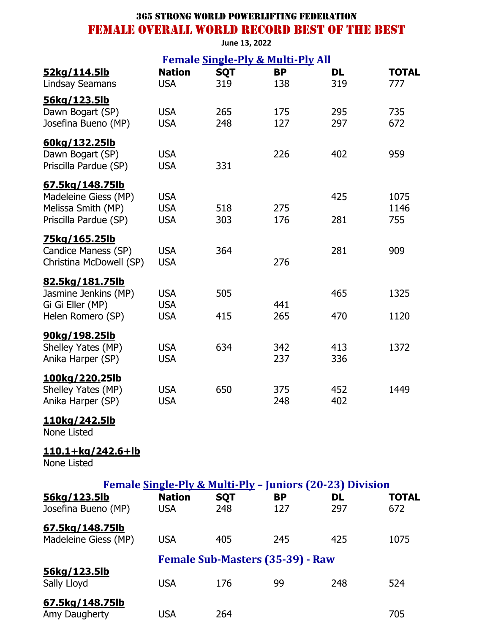**June 13, 2022**

|                          |                          |            | <b>Female Single-Ply &amp; Multi-Ply All</b> |                                                                       |              |
|--------------------------|--------------------------|------------|----------------------------------------------|-----------------------------------------------------------------------|--------------|
| <u>52kg/114.5lb</u>      | <b>Nation</b>            | <b>SQT</b> | <b>BP</b>                                    | DL                                                                    | <b>TOTAL</b> |
| Lindsay Seamans          | <b>USA</b>               | 319        | 138                                          | 319                                                                   | 777          |
| 56kg/123.5lb             |                          |            |                                              |                                                                       |              |
| Dawn Bogart (SP)         | <b>USA</b><br><b>USA</b> | 265<br>248 | 175<br>127                                   | 295<br>297                                                            | 735<br>672   |
| Josefina Bueno (MP)      |                          |            |                                              |                                                                       |              |
| 60kg/132.25lb            |                          |            |                                              |                                                                       |              |
| Dawn Bogart (SP)         | <b>USA</b>               |            | 226                                          | 402                                                                   | 959          |
| Priscilla Pardue (SP)    | <b>USA</b>               | 331        |                                              |                                                                       |              |
| 67.5kg/148.75lb          |                          |            |                                              |                                                                       |              |
| Madeleine Giess (MP)     | <b>USA</b>               |            |                                              | 425                                                                   | 1075         |
| Melissa Smith (MP)       | <b>USA</b>               | 518        | 275                                          |                                                                       | 1146         |
| Priscilla Pardue (SP)    | <b>USA</b>               | 303        | 176                                          | 281                                                                   | 755          |
| <u>75kg/165.25lb</u>     |                          |            |                                              |                                                                       |              |
| Candice Maness (SP)      | <b>USA</b>               | 364        |                                              | 281                                                                   | 909          |
| Christina McDowell (SP)  | <b>USA</b>               |            | 276                                          |                                                                       |              |
| 82.5kg/181.75lb          |                          |            |                                              |                                                                       |              |
| Jasmine Jenkins (MP)     | <b>USA</b>               | 505        |                                              | 465                                                                   | 1325         |
| Gi Gi Eller (MP)         | <b>USA</b>               |            | 441                                          |                                                                       |              |
| Helen Romero (SP)        | <b>USA</b>               | 415        | 265                                          | 470                                                                   | 1120         |
| 90kg/198.25lb            |                          |            |                                              |                                                                       |              |
| Shelley Yates (MP)       | <b>USA</b>               | 634        | 342                                          | 413                                                                   | 1372         |
| Anika Harper (SP)        | <b>USA</b>               |            | 237                                          | 336                                                                   |              |
| 100kg/220.25lb           |                          |            |                                              |                                                                       |              |
| Shelley Yates (MP)       | <b>USA</b>               | 650        | 375                                          | 452                                                                   | 1449         |
| Anika Harper (SP)        | <b>USA</b>               |            | 248                                          | 402                                                                   |              |
| <u>110kg/242.5lb</u>     |                          |            |                                              |                                                                       |              |
| None Listed              |                          |            |                                              |                                                                       |              |
| <u>110.1+kg/242.6+lb</u> |                          |            |                                              |                                                                       |              |
| None Listed              |                          |            |                                              |                                                                       |              |
|                          |                          |            |                                              |                                                                       |              |
| <u>56kg/123.5lb</u>      | <b>Nation</b>            | <b>SQT</b> | <b>BP</b>                                    | Female Single-Ply & Multi-Ply - Juniors (20-23) Division<br><b>DL</b> | <b>TOTAL</b> |
| Josefina Bueno (MP)      | <b>USA</b>               | 248        | 127                                          | 297                                                                   | 672          |
|                          |                          |            |                                              |                                                                       |              |
| 67.5kg/148.75lb          |                          |            |                                              |                                                                       |              |
| Madeleine Giess (MP)     | <b>USA</b>               | 405        | 245                                          | 425                                                                   | 1075         |
|                          |                          |            | <b>Female Sub-Masters (35-39) - Raw</b>      |                                                                       |              |
| <u>56kg/123.5lb</u>      |                          |            |                                              |                                                                       |              |
| Sally Lloyd              | <b>USA</b>               | 176        | 99                                           | 248                                                                   | 524          |
| <u>67.5kg/148.75lb</u>   |                          |            |                                              |                                                                       |              |
| Amy Daugherty            | <b>USA</b>               | 264        |                                              |                                                                       | 705          |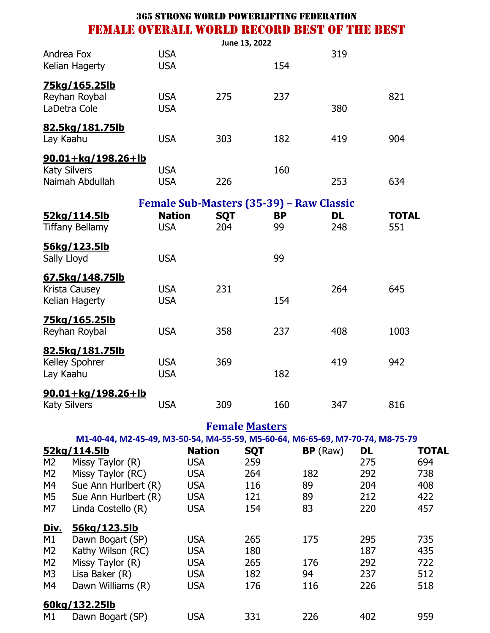| <b>USA</b><br><b>USA</b> |     | 154 | 319           |     |
|--------------------------|-----|-----|---------------|-----|
| <b>USA</b><br><b>USA</b> | 275 | 237 | 380           | 821 |
| <b>USA</b>               | 303 | 182 | 419           | 904 |
| <b>USA</b><br><b>USA</b> | 226 | 160 | 253           | 634 |
|                          |     |     | June 13, 2022 |     |

|                                                    | <b>Female Sub-Masters (35-39) - Raw Classic</b> |                   |                 |           |                     |
|----------------------------------------------------|-------------------------------------------------|-------------------|-----------------|-----------|---------------------|
| 52kg/114.5lb<br><b>Tiffany Bellamy</b>             | <b>Nation</b><br><b>USA</b>                     | <b>SQT</b><br>204 | <b>BP</b><br>99 | DL<br>248 | <b>TOTAL</b><br>551 |
| 56kg/123.5lb<br>Sally Lloyd                        | <b>USA</b>                                      |                   | 99              |           |                     |
| 67.5kg/148.75lb<br>Krista Causey<br>Kelian Hagerty | <b>USA</b><br><b>USA</b>                        | 231               | 154             | 264       | 645                 |
| 75kg/165.25lb<br>Reyhan Roybal                     | <b>USA</b>                                      | 358               | 237             | 408       | 1003                |
| 82.5kg/181.75lb<br>Kelley Spohrer<br>Lay Kaahu     | <b>USA</b><br><b>USA</b>                        | 369               | 182             | 419       | 942                 |
| $90.01 + kg/198.26 + lb$<br><b>Katy Silvers</b>    | <b>USA</b>                                      | 309               | 160             | 347       | 816                 |

**Female Masters**

|                | 52kg/114.5lb         | <b>Nation</b> | <b>SQT</b> | BP(Raw) | <b>DL</b> | <b>TOTAL</b> |
|----------------|----------------------|---------------|------------|---------|-----------|--------------|
| M2             | Missy Taylor (R)     | <b>USA</b>    | 259        |         | 275       | 694          |
| M <sub>2</sub> | Missy Taylor (RC)    | <b>USA</b>    | 264        | 182     | 292       | 738          |
| M4             | Sue Ann Hurlbert (R) | <b>USA</b>    | 116        | 89      | 204       | 408          |
| M5             | Sue Ann Hurlbert (R) | <b>USA</b>    | 121        | 89      | 212       | 422          |
| M7             | Linda Costello (R)   | <b>USA</b>    | 154        | 83      | 220       | 457          |
| Div.           | 56kg/123.5lb         |               |            |         |           |              |
| M1             | Dawn Bogart (SP)     | <b>USA</b>    | 265        | 175     | 295       | 735          |
| M <sub>2</sub> | Kathy Wilson (RC)    | <b>USA</b>    | 180        |         | 187       | 435          |
| M <sub>2</sub> | Missy Taylor (R)     | <b>USA</b>    | 265        | 176     | 292       | 722          |
| M <sub>3</sub> | Lisa Baker (R)       | <b>USA</b>    | 182        | 94      | 237       | 512          |
| M4             | Dawn Williams (R)    | <b>USA</b>    | 176        | 116     | 226       | 518          |
|                | 60kg/132.25lb        |               |            |         |           |              |
| M1             | Dawn Bogart (SP)     | <b>USA</b>    | 331        | 226     | 402       | 959          |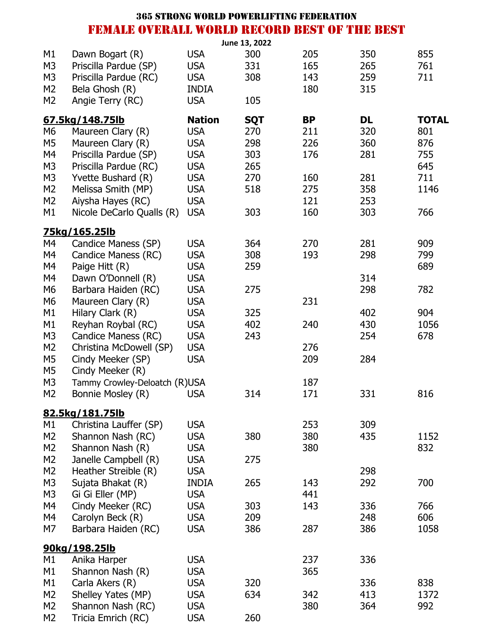|    |                                                     |               | <b>365 STRONG WORLD POWERLIFTING FEDERATION</b> |           |           |              |
|----|-----------------------------------------------------|---------------|-------------------------------------------------|-----------|-----------|--------------|
|    | <b>FEMALE OVERALL WORLD RECORD BEST OF THE BEST</b> |               |                                                 |           |           |              |
|    |                                                     |               | June 13, 2022                                   |           |           |              |
| М1 | Dawn Bogart (R)                                     | <b>USA</b>    | 300                                             | 205       | 350       | 855          |
| M3 | Priscilla Pardue (SP)                               | <b>USA</b>    | 331                                             | 165       | 265       | 761          |
| M3 | Priscilla Pardue (RC)                               | <b>USA</b>    | 308                                             | 143       | 259       | 711          |
| M2 | Bela Ghosh (R)                                      | <b>INDIA</b>  |                                                 | 180       | 315       |              |
| M2 | Angie Terry (RC)                                    | <b>USA</b>    | 105                                             |           |           |              |
|    | 67.5kg/148.75lb                                     | <b>Nation</b> | <b>SQT</b>                                      | <b>BP</b> | <b>DL</b> | <b>TOTAL</b> |
| М6 | Maureen Clary (R)                                   | <b>USA</b>    | 270                                             | 211       | 320       | 801          |
| M5 | Maureen Clary (R)                                   | <b>USA</b>    | 298                                             | 226       | 360       | 876          |
| M4 | Priscilla Pardue (SP)                               | <b>USA</b>    | 303                                             | 176       | 281       | 755          |
| M3 | Priscilla Pardue (RC)                               | <b>USA</b>    | 265                                             |           |           | 645          |
| M3 | Yvette Bushard (R)                                  | <b>USA</b>    | 270                                             | 160       | 281       | 711          |
| M2 | Melissa Smith (MP)                                  | <b>USA</b>    | 518                                             | 275       | 358       | 1146         |
| M2 | Aiysha Hayes (RC)                                   | <b>USA</b>    |                                                 | 121       | 253       |              |
| М1 | Nicole DeCarlo Qualls (R)                           | <b>USA</b>    | 303                                             | 160       | 303       | 766          |
|    | 75kg/165.25lb                                       |               |                                                 |           |           |              |
| М4 | Candice Maness (SP)                                 | <b>USA</b>    | 364                                             | 270       | 281       | 909          |
| M4 | Candice Maness (RC)                                 | <b>USA</b>    | 308                                             | 193       | 298       | 799          |
| M4 | Paige Hitt (R)                                      | <b>USA</b>    | 259                                             |           |           | 689          |
| M4 | Dawn O'Donnell (R)                                  | <b>USA</b>    |                                                 |           | 314       |              |
| М6 | Barbara Haiden (RC)                                 | <b>USA</b>    | 275                                             |           | 298       | 782          |
| М6 | Maureen Clary (R)                                   | <b>USA</b>    |                                                 | 231       |           |              |
| М1 | Hilary Clark (R)                                    | <b>USA</b>    | 325                                             |           | 402       | 904          |
| М1 | Reyhan Roybal (RC)                                  | <b>USA</b>    | 402                                             | 240       | 430       | 1056         |
| M3 | Candice Maness (RC)                                 | <b>USA</b>    | 243                                             |           | 254       | 678          |
| M2 | Christina McDowell (SP)                             | <b>USA</b>    |                                                 | 276       |           |              |
| M5 | Cindy Meeker (SP)                                   | <b>USA</b>    |                                                 | 209       | 284       |              |
| М5 | Cindy Meeker (R)                                    |               |                                                 |           |           |              |
| M3 | Tammy Crowley-Deloatch (R)USA                       |               |                                                 | 187       |           |              |
| M2 | Bonnie Mosley (R)                                   | <b>USA</b>    | 314                                             | 171       | 331       | 816          |
|    | <u>82.5kg/181.75lb</u>                              |               |                                                 |           |           |              |
| М1 | Christina Lauffer (SP)                              | <b>USA</b>    |                                                 | 253       | 309       |              |
| M2 | Shannon Nash (RC)                                   | <b>USA</b>    | 380                                             | 380       | 435       | 1152         |
| M2 | Shannon Nash (R)                                    | <b>USA</b>    |                                                 | 380       |           | 832          |
| M2 | Janelle Campbell (R)                                | <b>USA</b>    | 275                                             |           |           |              |
| M2 | Heather Streible (R)                                | <b>USA</b>    |                                                 |           | 298       |              |
| M3 | Sujata Bhakat (R)                                   | <b>INDIA</b>  | 265                                             | 143       | 292       | 700          |
| M3 | Gi Gi Eller (MP)                                    | <b>USA</b>    |                                                 | 441       |           |              |
| М4 | Cindy Meeker (RC)                                   | <b>USA</b>    | 303                                             | 143       | 336       | 766          |
| М4 | Carolyn Beck (R)                                    | <b>USA</b>    | 209                                             |           | 248       | 606          |
| М7 | Barbara Haiden (RC)                                 | <b>USA</b>    | 386                                             | 287       | 386       | 1058         |
|    | <u>90kg/198.25lb</u>                                |               |                                                 |           |           |              |
| М1 | Anika Harper                                        | <b>USA</b>    |                                                 | 237       | 336       |              |
| М1 | Shannon Nash (R)                                    | <b>USA</b>    |                                                 | 365       |           |              |
| М1 | Carla Akers (R)                                     | <b>USA</b>    | 320                                             |           | 336       | 838          |
| M2 | Shelley Yates (MP)                                  | <b>USA</b>    | 634                                             | 342       | 413       | 1372         |
| M2 | Shannon Nash (RC)                                   | <b>USA</b>    |                                                 | 380       | 364       | 992          |

M2 Tricia Emrich (RC) USA 260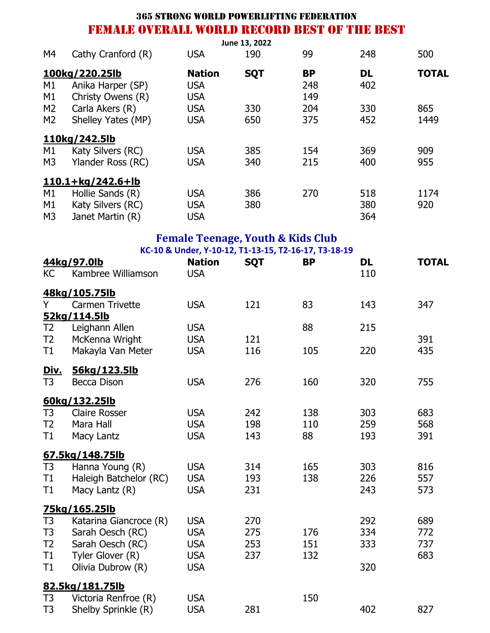|                                                    |                                                                                                                          |                                                                    |                          | <b>365 STRONG WORLD POWERLIFTING FEDERATION</b>                   |                          |                          |
|----------------------------------------------------|--------------------------------------------------------------------------------------------------------------------------|--------------------------------------------------------------------|--------------------------|-------------------------------------------------------------------|--------------------------|--------------------------|
|                                                    | <b>FEMALE OVERALL WORLD RECORD BEST OF THE BEST</b>                                                                      |                                                                    |                          |                                                                   |                          |                          |
| M4                                                 | Cathy Cranford (R)                                                                                                       | <b>USA</b>                                                         | June 13, 2022<br>190     | 99                                                                | 248                      | 500                      |
| M1<br>M1                                           | 100kg/220.25lb<br>Anika Harper (SP)<br>Christy Owens (R)                                                                 | <b>Nation</b><br><b>USA</b><br><b>USA</b>                          | <b>SQT</b>               | <b>BP</b><br>248<br>149                                           | <b>DL</b><br>402         | <b>TOTAL</b>             |
| M2<br>M2                                           | Carla Akers (R)<br>Shelley Yates (MP)                                                                                    | <b>USA</b><br><b>USA</b>                                           | 330<br>650               | 204<br>375                                                        | 330<br>452               | 865<br>1449              |
| M1<br>M <sub>3</sub>                               | 110kg/242.5lb<br>Katy Silvers (RC)<br>Ylander Ross (RC)                                                                  | <b>USA</b><br><b>USA</b>                                           | 385<br>340               | 154<br>215                                                        | 369<br>400               | 909<br>955               |
| M1<br>M1<br>M <sub>3</sub>                         | <u>110.1+kg/242.6+lb</u><br>Hollie Sands (R)<br>Katy Silvers (RC)<br>Janet Martin (R)                                    | <b>USA</b><br><b>USA</b><br><b>USA</b>                             | 386<br>380               | 270                                                               | 518<br>380<br>364        | 1174<br>920              |
|                                                    |                                                                                                                          |                                                                    |                          | <b>Female Teenage, Youth &amp; Kids Club</b>                      |                          |                          |
| <b>KC</b>                                          | 44kg/97.0lb<br>Kambree Williamson                                                                                        | <b>Nation</b><br><b>USA</b>                                        | <b>SQT</b>               | KC-10 & Under, Y-10-12, T1-13-15, T2-16-17, T3-18-19<br><b>BP</b> | <b>DL</b><br>110         | <b>TOTAL</b>             |
| Y                                                  | 48kg/105.75lb<br><b>Carmen Trivette</b><br>52kg/114.5lb                                                                  | <b>USA</b>                                                         | 121                      | 83                                                                | 143                      | 347                      |
| T <sub>2</sub><br>T <sub>2</sub><br>T1             | Leighann Allen<br>McKenna Wright<br>Makayla Van Meter                                                                    | <b>USA</b><br><b>USA</b><br><b>USA</b>                             | 121<br>116               | 88<br>105                                                         | 215<br>220               | 391<br>435               |
| <u>Div.</u><br>T3                                  | 56kg/123.5lb<br>Becca Dison                                                                                              | <b>USA</b>                                                         | 276                      | 160                                                               | 320                      | 755                      |
| T <sub>3</sub><br>T <sub>2</sub><br>T1             | 60kg/132.25lb<br><b>Claire Rosser</b><br>Mara Hall<br>Macy Lantz                                                         | <b>USA</b><br><b>USA</b><br><b>USA</b>                             | 242<br>198<br>143        | 138<br>110<br>88                                                  | 303<br>259<br>193        | 683<br>568<br>391        |
| T <sub>3</sub><br>T1<br>T1                         | 67.5kg/148.75lb<br>Hanna Young (R)<br>Haleigh Batchelor (RC)<br>Macy Lantz (R)                                           | <b>USA</b><br><b>USA</b><br><b>USA</b>                             | 314<br>193<br>231        | 165<br>138                                                        | 303<br>226<br>243        | 816<br>557<br>573        |
| T3<br>T <sub>3</sub><br>T <sub>2</sub><br>T1<br>T1 | 75kg/165.25lb<br>Katarina Giancroce (R)<br>Sarah Oesch (RC)<br>Sarah Oesch (RC)<br>Tyler Glover (R)<br>Olivia Dubrow (R) | <b>USA</b><br><b>USA</b><br><b>USA</b><br><b>USA</b><br><b>USA</b> | 270<br>275<br>253<br>237 | 176<br>151<br>132                                                 | 292<br>334<br>333<br>320 | 689<br>772<br>737<br>683 |
| T3<br>T <sub>3</sub>                               | 82.5kg/181.75lb<br>Victoria Renfroe (R)<br>Shelby Sprinkle (R)                                                           | <b>USA</b><br><b>USA</b>                                           | 281                      | 150                                                               | 402                      | 827                      |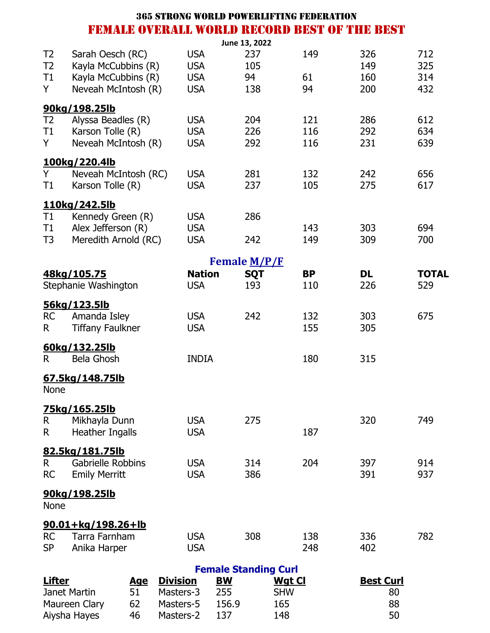|                |                                              | <b>365 STRONG WORLD POWERLIFTING FEDERATION</b> |               |                             |               |               |           |                  |    |              |
|----------------|----------------------------------------------|-------------------------------------------------|---------------|-----------------------------|---------------|---------------|-----------|------------------|----|--------------|
|                | FEMALE OVERALL WORLD RECORD BEST OF THE BEST |                                                 |               |                             |               |               |           |                  |    |              |
|                |                                              |                                                 |               |                             | June 13, 2022 |               |           |                  |    |              |
| T <sub>2</sub> | Sarah Oesch (RC)                             |                                                 | <b>USA</b>    |                             | 237           |               | 149       | 326              |    | 712          |
| T <sub>2</sub> | Kayla McCubbins (R)                          |                                                 | <b>USA</b>    |                             | 105           |               |           | 149              |    | 325          |
| T1             | Kayla McCubbins (R)                          |                                                 | <b>USA</b>    |                             | 94            |               | 61        | 160              |    | 314          |
| Y              | Neveah McIntosh (R)                          |                                                 | <b>USA</b>    |                             | 138           |               | 94        | 200              |    | 432          |
|                | 90kg/198.25lb                                |                                                 |               |                             |               |               |           |                  |    |              |
| T <sub>2</sub> | Alyssa Beadles (R)                           |                                                 | <b>USA</b>    |                             | 204           |               | 121       | 286              |    | 612          |
| T1             | Karson Tolle (R)                             |                                                 | <b>USA</b>    |                             | 226           |               | 116       | 292              |    | 634          |
| Y              | Neveah McIntosh (R)                          |                                                 | <b>USA</b>    |                             | 292           |               | 116       | 231              |    | 639          |
|                | 100kg/220.4lb                                |                                                 |               |                             |               |               |           |                  |    |              |
| Y              | Neveah McIntosh (RC)                         |                                                 | <b>USA</b>    |                             | 281           |               | 132       | 242              |    | 656          |
| T1             | Karson Tolle (R)                             |                                                 | <b>USA</b>    |                             | 237           |               | 105       | 275              |    | 617          |
|                |                                              |                                                 |               |                             |               |               |           |                  |    |              |
|                | 110kg/242.5lb                                |                                                 |               |                             |               |               |           |                  |    |              |
| T1             | Kennedy Green (R)                            |                                                 | <b>USA</b>    |                             | 286           |               |           |                  |    |              |
| T1             | Alex Jefferson (R)                           |                                                 | <b>USA</b>    |                             |               |               | 143       | 303              |    | 694          |
| T <sub>3</sub> | Meredith Arnold (RC)                         |                                                 | <b>USA</b>    |                             | 242           |               | 149       | 309              |    | 700          |
|                |                                              |                                                 |               | Female M/P/F                |               |               |           |                  |    |              |
|                | 48kg/105.75                                  |                                                 | <b>Nation</b> |                             | <b>SQT</b>    |               | <b>BP</b> | <b>DL</b>        |    | <b>TOTAL</b> |
|                | Stephanie Washington                         |                                                 | <b>USA</b>    |                             | 193           |               | 110       | 226              |    | 529          |
|                |                                              |                                                 |               |                             |               |               |           |                  |    |              |
|                | 56kg/123.5lb                                 |                                                 |               |                             |               |               |           |                  |    |              |
| <b>RC</b>      | Amanda Isley                                 |                                                 | <b>USA</b>    |                             | 242           |               | 132       | 303              |    | 675          |
| R.             | <b>Tiffany Faulkner</b>                      |                                                 | <b>USA</b>    |                             |               |               | 155       | 305              |    |              |
|                | 60kg/132.25lb                                |                                                 |               |                             |               |               |           |                  |    |              |
| R.             | <b>Bela Ghosh</b>                            |                                                 | <b>INDIA</b>  |                             |               |               | 180       | 315              |    |              |
|                | 67.5kg/148.75lb                              |                                                 |               |                             |               |               |           |                  |    |              |
| <b>None</b>    |                                              |                                                 |               |                             |               |               |           |                  |    |              |
|                |                                              |                                                 |               |                             |               |               |           |                  |    |              |
|                | <u>75kg/165.25lb</u>                         |                                                 |               |                             |               |               |           |                  |    |              |
| R.             | Mikhayla Dunn                                |                                                 | <b>USA</b>    |                             | 275           |               |           | 320              |    | 749          |
| R.             | <b>Heather Ingalls</b>                       |                                                 | <b>USA</b>    |                             |               |               | 187       |                  |    |              |
|                | 82.5kg/181.75lb                              |                                                 |               |                             |               |               |           |                  |    |              |
| R.             | <b>Gabrielle Robbins</b>                     |                                                 | <b>USA</b>    |                             | 314           |               | 204       | 397              |    | 914          |
| <b>RC</b>      | <b>Emily Merritt</b>                         |                                                 | <b>USA</b>    |                             | 386           |               |           | 391              |    | 937          |
|                |                                              |                                                 |               |                             |               |               |           |                  |    |              |
| None           | <u>90kg/198.25lb</u>                         |                                                 |               |                             |               |               |           |                  |    |              |
|                |                                              |                                                 |               |                             |               |               |           |                  |    |              |
|                | 90.01+kg/198.26+lb                           |                                                 |               |                             |               |               |           |                  |    |              |
| <b>RC</b>      | Tarra Farnham                                |                                                 | <b>USA</b>    |                             | 308           |               | 138       | 336              |    | 782          |
| <b>SP</b>      | Anika Harper                                 |                                                 | <b>USA</b>    |                             |               |               | 248       | 402              |    |              |
|                |                                              |                                                 |               | <b>Female Standing Curl</b> |               |               |           |                  |    |              |
| <b>Lifter</b>  | <u>Age</u>                                   | <b>Division</b>                                 |               | <b>BW</b>                   |               | <u>Wgt Cl</u> |           | <b>Best Curl</b> |    |              |
|                | Janet Martin<br>51                           | Masters-3                                       |               | 255                         |               | <b>SHW</b>    |           |                  | 80 |              |
|                | 62<br>Maureen Clary                          | Masters-5                                       |               | 156.9                       |               | 165           |           |                  | 88 |              |

Aiysha Hayes 46 Masters-2 137 148 50